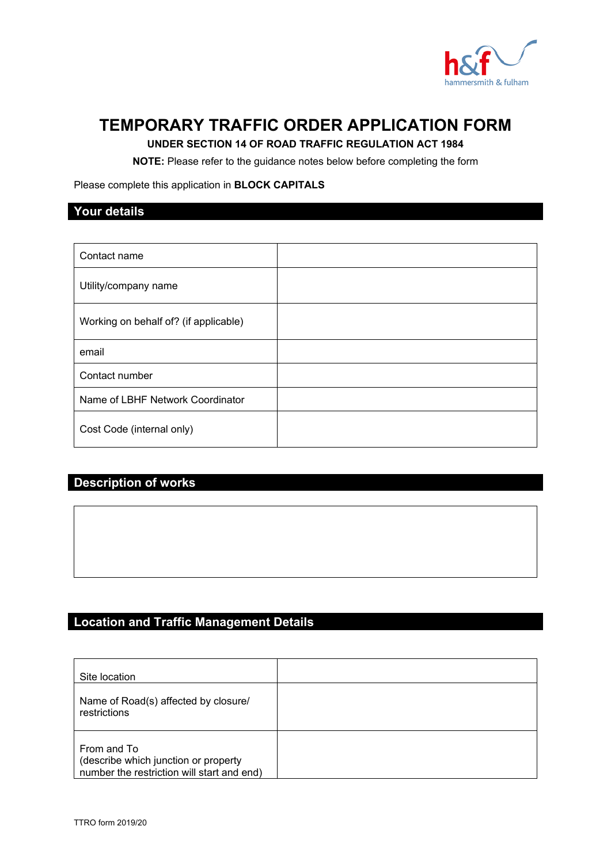

# **TEMPORARY TRAFFIC ORDER APPLICATION FORM**

## **UNDER SECTION 14 OF ROAD TRAFFIC REGULATION ACT 1984**

**NOTE:** Please refer to the guidance notes below before completing the form

Please complete this application in **BLOCK CAPITALS**

## **Your details**

| Contact name                          |  |
|---------------------------------------|--|
| Utility/company name                  |  |
| Working on behalf of? (if applicable) |  |
| email                                 |  |
| Contact number                        |  |
| Name of LBHF Network Coordinator      |  |
| Cost Code (internal only)             |  |

# **Description of works**

# **Location and Traffic Management Details**

| Site location                                                                                     |  |
|---------------------------------------------------------------------------------------------------|--|
| Name of Road(s) affected by closure/<br>restrictions                                              |  |
| From and To<br>(describe which junction or property<br>number the restriction will start and end) |  |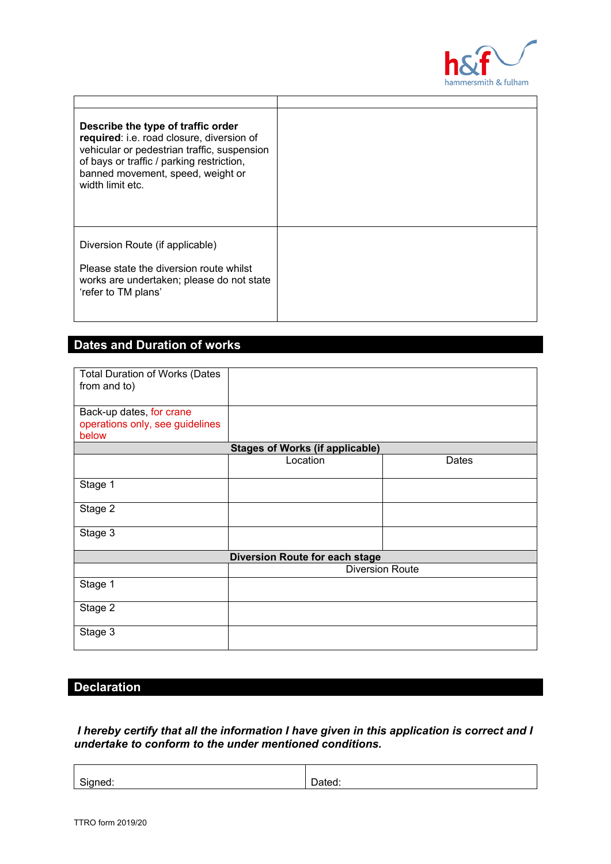

| Describe the type of traffic order<br>required: i.e. road closure, diversion of<br>vehicular or pedestrian traffic, suspension<br>of bays or traffic / parking restriction,<br>banned movement, speed, weight or<br>width limit etc. |  |
|--------------------------------------------------------------------------------------------------------------------------------------------------------------------------------------------------------------------------------------|--|
| Diversion Route (if applicable)<br>Please state the diversion route whilst<br>works are undertaken; please do not state<br>'refer to TM plans'                                                                                       |  |

# **Dates and Duration of works**

| <b>Total Duration of Works (Dates</b><br>from and to)                |                                        |       |  |  |  |
|----------------------------------------------------------------------|----------------------------------------|-------|--|--|--|
| Back-up dates, for crane<br>operations only, see guidelines<br>below |                                        |       |  |  |  |
|                                                                      | <b>Stages of Works (if applicable)</b> |       |  |  |  |
|                                                                      | Location                               | Dates |  |  |  |
| Stage 1                                                              |                                        |       |  |  |  |
| Stage 2                                                              |                                        |       |  |  |  |
| Stage 3                                                              |                                        |       |  |  |  |
| <b>Diversion Route for each stage</b>                                |                                        |       |  |  |  |
|                                                                      | <b>Diversion Route</b>                 |       |  |  |  |
| Stage 1                                                              |                                        |       |  |  |  |
| Stage 2                                                              |                                        |       |  |  |  |
| Stage 3                                                              |                                        |       |  |  |  |

## **Declaration**

*I hereby certify that all the information I have given in this application is correct and I undertake to conform to the under mentioned conditions.* 

Signed: **Dated: Dated: Dated: Dated:**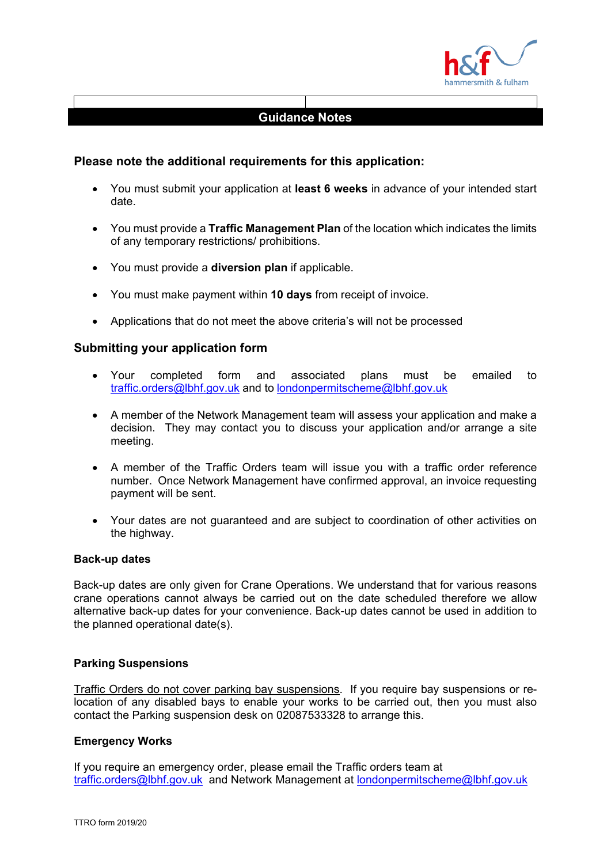

## **Guidance Notes**

### **Please note the additional requirements for this application:**

- You must submit your application at **least 6 weeks** in advance of your intended start date.
- You must provide a **Traffic Management Plan** of the location which indicates the limits of any temporary restrictions/ prohibitions.
- You must provide a **diversion plan** if applicable.
- You must make payment within **10 days** from receipt of invoice.
- Applications that do not meet the above criteria's will not be processed

#### **Submitting your application form**

- Your completed form and associated plans must be emailed to [traffic.orders@lbhf.gov.uk](mailto:traffic.orders@lbhf.gov.uk) and to [londonpermitscheme@lbhf.gov.uk](mailto:londonpermitscheme@lbhf.gov.uk)
- A member of the Network Management team will assess your application and make a decision. They may contact you to discuss your application and/or arrange a site meeting.
- A member of the Traffic Orders team will issue you with a traffic order reference number. Once Network Management have confirmed approval, an invoice requesting payment will be sent.
- Your dates are not guaranteed and are subject to coordination of other activities on the highway.

#### **Back-up dates**

Back-up dates are only given for Crane Operations. We understand that for various reasons crane operations cannot always be carried out on the date scheduled therefore we allow alternative back-up dates for your convenience. Back-up dates cannot be used in addition to the planned operational date(s).

#### **Parking Suspensions**

Traffic Orders do not cover parking bay suspensions. If you require bay suspensions or relocation of any disabled bays to enable your works to be carried out, then you must also contact the Parking suspension desk on 02087533328 to arrange this.

#### **Emergency Works**

If you require an emergency order, please email the Traffic orders team at [traffic.orders@lbhf.gov.uk](mailto:traffic.orders@lbhf.gov.uk) and Network Management at [londonpermitscheme@lbhf.gov.uk](mailto:londonpermitscheme@lbhf.gov.uk)